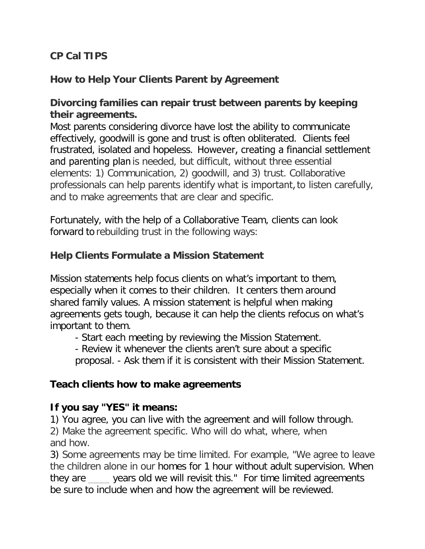# **CP Cal TIPS**

# **How to Help Your Clients Parent by Agreement**

## **Divorcing families can repair trust between parents by keeping their agreements.**

Most parents considering divorce have lost the ability to communicate effectively, goodwill is gone and trust is often obliterated. Clients feel frustrated, isolated and hopeless.  However, creating a financial settlement and parenting plan is needed, but difficult, without three essential elements: 1) Communication, 2) goodwill, and 3) trust. Collaborative professionals can help parents identify what is important, to listen carefully, and to make agreements that are clear and specific.

Fortunately, with the help of a Collaborative Team, clients can look forward to rebuilding trust in the following ways:

## **Help Clients Formulate a Mission Statement**

Mission statements help focus clients on what's important to them, especially when it comes to their children. It centers them around shared family values. A mission statement is helpful when making agreements gets tough, because it can help the clients refocus on what's important to them.

- Start each meeting by reviewing the Mission Statement.

- Review it whenever the clients aren't sure about a specific

proposal. - Ask them if it is consistent with their Mission Statement.

### **Teach clients how to make agreements**

### **If you say "YES" it means:**

1) You agree, you can live with the agreement and will follow through.

2) Make the agreement specific. Who will do what, where, when and how.

3) Some agreements may be time limited. For example, "We agree to leave the children alone in our homes for 1 hour without adult supervision. When they are vears old we will revisit this." For time limited agreements be sure to include when and how the agreement will be reviewed.